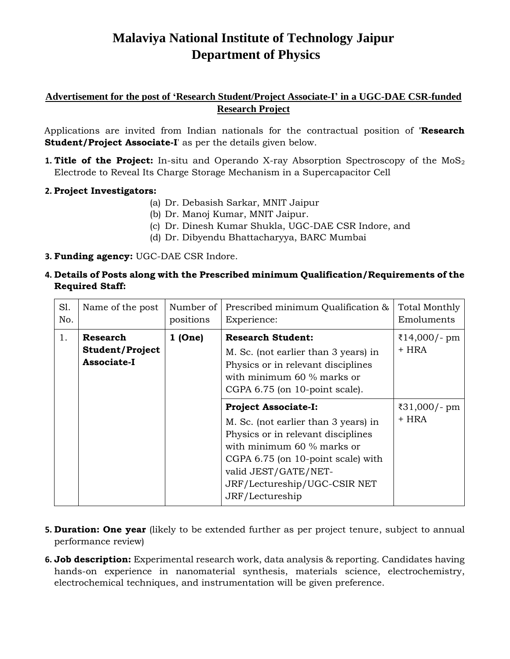# **Malaviya National Institute of Technology Jaipur Department of Physics**

## **Advertisement for the post of 'Research Student/Project Associate-I' in a UGC-DAE CSR-funded Research Project**

Applications are invited from Indian nationals for the contractual position of **'Research Student/Project Associate-I**' as per the details given below.

**1. Title of the Project:** In-situ and Operando X-ray Absorption Spectroscopy of the MoS<sub>2</sub> Electrode to Reveal Its Charge Storage Mechanism in a Supercapacitor Cell

### **2. Project Investigators:**

- (a) Dr. Debasish Sarkar, MNIT Jaipur
- (b) Dr. Manoj Kumar, MNIT Jaipur.
- (c) Dr. Dinesh Kumar Shukla, UGC-DAE CSR Indore, and
- (d) Dr. Dibyendu Bhattacharyya, BARC Mumbai

#### **3. Funding agency:** UGC-DAE CSR Indore.

**4. Details of Posts along with the Prescribed minimum Qualification/Requirements of the Required Staff:**

| S1.<br>No. | Name of the post                                  | Number of<br>positions | Prescribed minimum Qualification &<br>Experience:                                                                                                                                                                                                        | <b>Total Monthly</b><br>Emoluments |
|------------|---------------------------------------------------|------------------------|----------------------------------------------------------------------------------------------------------------------------------------------------------------------------------------------------------------------------------------------------------|------------------------------------|
| 1.         | <b>Research</b><br>Student/Project<br>Associate-I | $1$ (One)              | <b>Research Student:</b><br>M. Sc. (not earlier than 3 years) in<br>Physics or in relevant disciplines<br>with minimum $60\%$ marks or<br>CGPA 6.75 (on 10-point scale).                                                                                 | ₹14,000/- pm<br>+ HRA              |
|            |                                                   |                        | <b>Project Associate-I:</b><br>M. Sc. (not earlier than 3 years) in<br>Physics or in relevant disciplines<br>with minimum 60 % marks or<br>CGPA 6.75 (on 10-point scale) with<br>valid JEST/GATE/NET-<br>JRF/Lectureship/UGC-CSIR NET<br>JRF/Lectureship | ₹31,000/- pm<br>+ HRA              |

- **5. Duration: One year** (likely to be extended further as per project tenure, subject to annual performance review)
- **6. Job description:** Experimental research work, data analysis & reporting. Candidates having hands-on experience in nanomaterial synthesis, materials science, electrochemistry, electrochemical techniques, and instrumentation will be given preference.